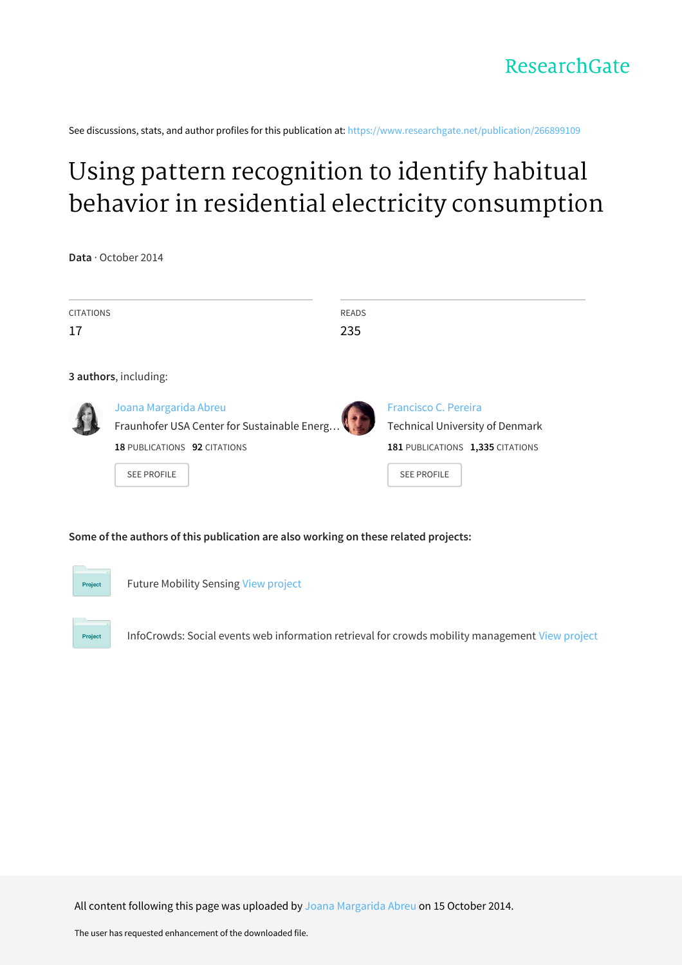See discussions, stats, and author profiles for this publication at: [https://www.researchgate.net/publication/266899109](https://www.researchgate.net/publication/266899109_Using_pattern_recognition_to_identify_habitual_behavior_in_residential_electricity_consumption?enrichId=rgreq-f1502cb2f61180f68a1efad05efbc28d-XXX&enrichSource=Y292ZXJQYWdlOzI2Njg5OTEwOTtBUzoxNTI1NDIwNjMzNzAyNDBAMTQxMzM4MDI3MDM4Mw%3D%3D&el=1_x_2&_esc=publicationCoverPdf)

# Using pattern recognition to identify habitual behavior in residential electricity [consumption](https://www.researchgate.net/publication/266899109_Using_pattern_recognition_to_identify_habitual_behavior_in_residential_electricity_consumption?enrichId=rgreq-f1502cb2f61180f68a1efad05efbc28d-XXX&enrichSource=Y292ZXJQYWdlOzI2Njg5OTEwOTtBUzoxNTI1NDIwNjMzNzAyNDBAMTQxMzM4MDI3MDM4Mw%3D%3D&el=1_x_3&_esc=publicationCoverPdf)

**Data** · October 2014

| <b>CITATIONS</b> |                                                                       | <b>READS</b> |                                                         |
|------------------|-----------------------------------------------------------------------|--------------|---------------------------------------------------------|
| 17               |                                                                       | 235          |                                                         |
|                  |                                                                       |              |                                                         |
|                  | 3 authors, including:                                                 |              |                                                         |
|                  | Joana Margarida Abreu<br>Fraunhofer USA Center for Sustainable Energ' |              | Francisco C. Pereira<br>Technical University of Denmark |
|                  | 18 PUBLICATIONS 92 CITATIONS                                          |              | 181 PUBLICATIONS 1,335 CITATIONS                        |
|                  | <b>SEE PROFILE</b>                                                    |              | <b>SEE PROFILE</b>                                      |
|                  |                                                                       |              |                                                         |

### **Some of the authors of this publication are also working on these related projects:**



Future Mobility Sensing View [project](https://www.researchgate.net/project/Future-Mobility-Sensing?enrichId=rgreq-f1502cb2f61180f68a1efad05efbc28d-XXX&enrichSource=Y292ZXJQYWdlOzI2Njg5OTEwOTtBUzoxNTI1NDIwNjMzNzAyNDBAMTQxMzM4MDI3MDM4Mw%3D%3D&el=1_x_9&_esc=publicationCoverPdf)

Project

InfoCrowds: Social events web information retrieval for crowds mobility management View [project](https://www.researchgate.net/project/InfoCrowds-Social-events-web-information-retrieval-for-crowds-mobility-management?enrichId=rgreq-f1502cb2f61180f68a1efad05efbc28d-XXX&enrichSource=Y292ZXJQYWdlOzI2Njg5OTEwOTtBUzoxNTI1NDIwNjMzNzAyNDBAMTQxMzM4MDI3MDM4Mw%3D%3D&el=1_x_9&_esc=publicationCoverPdf)

All content following this page was uploaded by Joana [Margarida](https://www.researchgate.net/profile/Joana_Abreu_2?enrichId=rgreq-f1502cb2f61180f68a1efad05efbc28d-XXX&enrichSource=Y292ZXJQYWdlOzI2Njg5OTEwOTtBUzoxNTI1NDIwNjMzNzAyNDBAMTQxMzM4MDI3MDM4Mw%3D%3D&el=1_x_10&_esc=publicationCoverPdf) Abreu on 15 October 2014.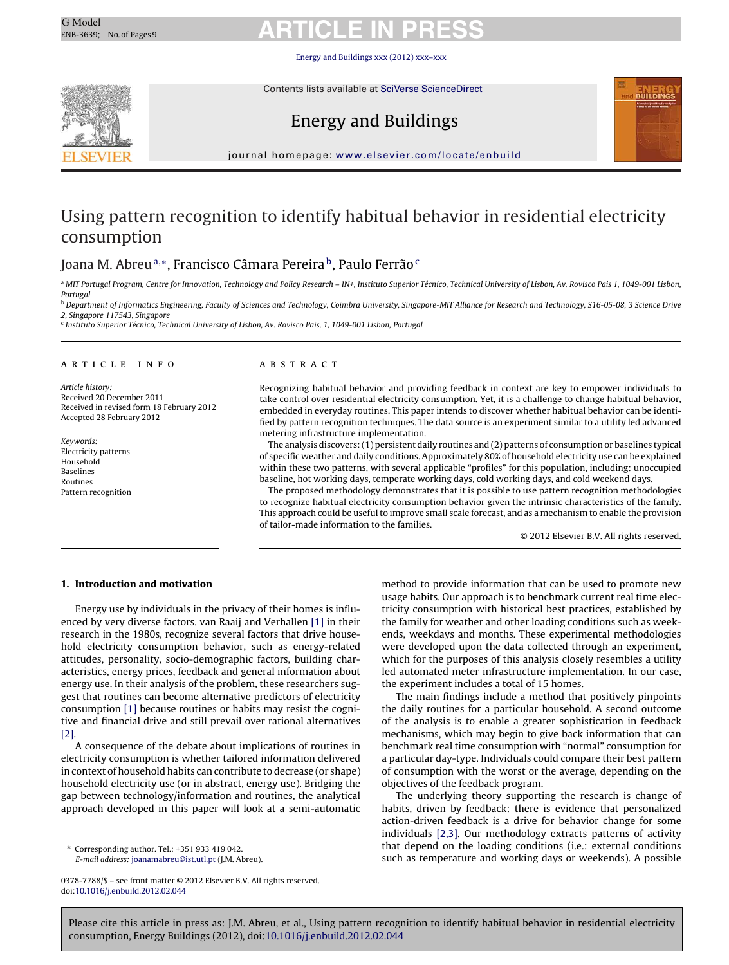Energy and [Buildings](dx.doi.org/10.1016/j.enbuild.2012.02.044) xxx (2012) xxx–xxx



Contents lists available at SciVerse [ScienceDirect](http://www.sciencedirect.com/science/journal/03787788)



### Energy and Buildings

journal homepage: [www.elsevier.com/locate/enbuild](http://www.elsevier.com/locate/enbuild)

### Using pattern recognition to identify habitual behavior in residential electricity consumption

### Joana M. Abreuª,\*, Francisco Câmara Pereira<sup>b</sup>, Paulo Ferrão<sup>c</sup>

a MIT Portugal Program, Centre for Innovation, Technology and Policy Research - IN+, Instituto Superior Técnico, Technical University of Lisbon, Av. Rovisco Pais 1, 1049-001 Lisbon, Portugal

**b** Department of Informatics Engineering, Faculty of Sciences and Technology, Coimbra University, Singapore-MIT Alliance for Research and Technology, S16-05-08, 3 Science Drive 2, Singapore 117543, Singapore

<sup>c</sup> Instituto Superior Técnico, Technical University of Lisbon, Av. Rovisco Pais, 1, 1049-001 Lisbon, Portugal

#### a r t i c l e i n f o

Article history: Received 20 December 2011 Received in revised form 18 February 2012 Accepted 28 February 2012

Keywords: Electricity patterns Household Baselines Routines Pattern recognition

#### a b s t r a c t

Recognizing habitual behavior and providing feedback in context are key to empower individuals to take control over residential electricity consumption. Yet, it is a challenge to change habitual behavior, embedded in everyday routines. This paper intends to discover whether habitual behavior can be identified by pattern recognition techniques. The data source is an experiment similar to a utility led advanced metering infrastructure implementation.

The analysis discovers:(1) persistent daily routines and (2) patterns of consumption or baselines typical of specific weather and daily conditions. Approximately 80% of household electricity use can be explained within these two patterns, with several applicable "profiles" for this population, including: unoccupied baseline, hot working days, temperate working days, cold working days, and cold weekend days.

The proposed methodology demonstrates that it is possible to use pattern recognition methodologies to recognize habitual electricity consumption behavior given the intrinsic characteristics of the family. This approach could be useful to improve small scale forecast, and as a mechanism to enable the provision of tailor-made information to the families.

© 2012 Elsevier B.V. All rights reserved.

#### 1. Introduction and motivation

Energy use by individuals in the privacy of their homes is influenced by very diverse factors. van Raaij and Verhallen [\[1\]](#page-9-0) in their research in the 1980s, recognize several factors that drive household electricity consumption behavior, such as energy-related attitudes, personality, socio-demographic factors, building characteristics, energy prices, feedback and general information about energy use. In their analysis of the problem, these researchers suggest that routines can become alternative predictors of electricity consumption [\[1\]](#page-9-0) because routines or habits may resist the cognitive and financial drive and still prevail over rational alternatives [\[2\].](#page-9-0)

A consequence of the debate about implications of routines in electricity consumption is whether tailored information delivered in context of household habits can contribute to decrease (or shape) household electricity use (or in abstract, energy use). Bridging the gap between technology/information and routines, the analytical approach developed in this paper will look at a semi-automatic

method to provide information that can be used to promote new usage habits. Our approach is to benchmark current real time electricity consumption with historical best practices, established by the family for weather and other loading conditions such as weekends, weekdays and months. These experimental methodologies were developed upon the data collected through an experiment, which for the purposes of this analysis closely resembles a utility led automated meter infrastructure implementation. In our case, the experiment includes a total of 15 homes.

The main findings include a method that positively pinpoints the daily routines for a particular household. A second outcome of the analysis is to enable a greater sophistication in feedback mechanisms, which may begin to give back information that can benchmark real time consumption with "normal" consumption for a particular day-type. Individuals could compare their best pattern of consumption with the worst or the average, depending on the objectives of the feedback program.

The underlying theory supporting the research is change of habits, driven by feedback: there is evidence that personalized action-driven feedback is a drive for behavior change for some individuals [\[2,3\].](#page-9-0) Our methodology extracts patterns of activity that depend on the loading conditions (i.e.: external conditions such as temperature and working days or weekends). A possible

<sup>∗</sup> Corresponding author. Tel.: +351 <sup>933</sup> <sup>419</sup> 042. E-mail address: [joanamabreu@ist.utl.pt](mailto:joanamabreu@ist.utl.pt) (J.M. Abreu).

<sup>0378-7788/\$</sup> – see front matter © 2012 Elsevier B.V. All rights reserved. doi:[10.1016/j.enbuild.2012.02.044](dx.doi.org/10.1016/j.enbuild.2012.02.044)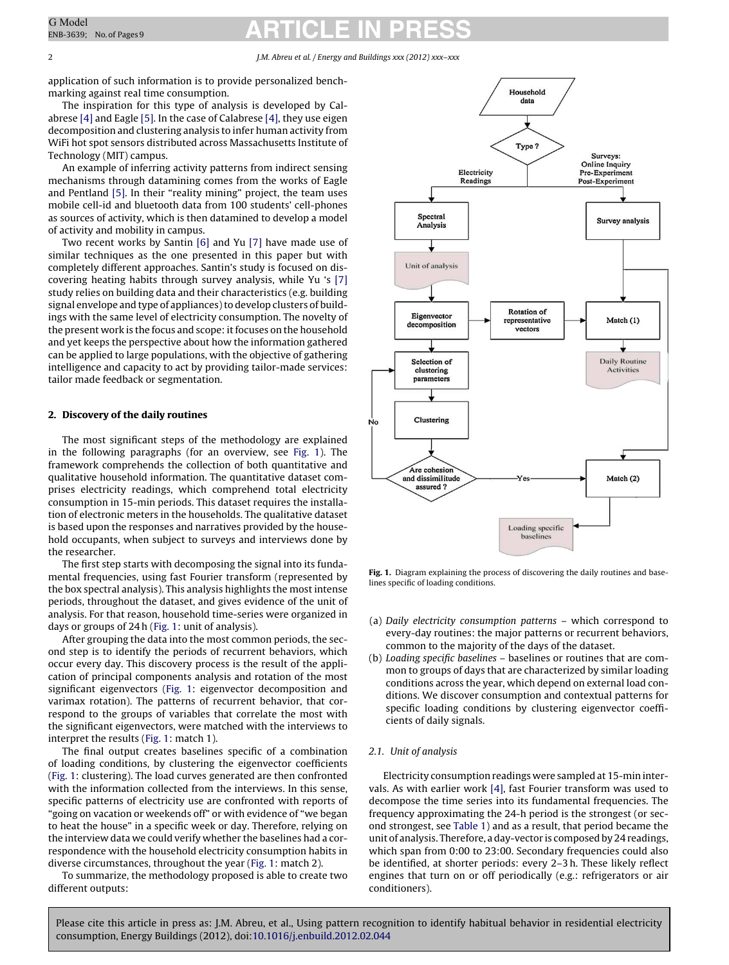2 J.M. Abreu et al. / Energy and Buildings xxx (2012) xxx–xxx

application of such information is to provide personalized benchmarking against real time consumption.

The inspiration for this type of analysis is developed by Calabrese [\[4\]](#page-9-0) and Eagle [\[5\].](#page-9-0) In the case of Calabrese [\[4\],](#page-9-0) they use eigen decomposition and clustering analysis to infer human activity from WiFi hot spot sensors distributed across Massachusetts Institute of Technology (MIT) campus.

An example of inferring activity patterns from indirect sensing mechanisms through datamining comes from the works of Eagle and Pentland [\[5\].](#page-9-0) In their "reality mining" project, the team uses mobile cell-id and bluetooth data from 100 students' cell-phones as sources of activity, which is then datamined to develop a model of activity and mobility in campus.

Two recent works by Santin [\[6\]](#page-9-0) and Yu [\[7\]](#page-9-0) have made use of similar techniques as the one presented in this paper but with completely different approaches. Santin's study is focused on discovering heating habits through survey analysis, while Yu 's [\[7\]](#page-9-0) study relies on building data and their characteristics (e.g. building signal envelope and type of appliances) to develop clusters of buildings with the same level of electricity consumption. The novelty of the present work is the focus and scope: it focuses on the household and yet keeps the perspective about how the information gathered can be applied to large populations, with the objective of gathering intelligence and capacity to act by providing tailor-made services: tailor made feedback or segmentation.

#### 2. Discovery of the daily routines

The most significant steps of the methodology are explained in the following paragraphs (for an overview, see Fig. 1). The framework comprehends the collection of both quantitative and qualitative household information. The quantitative dataset comprises electricity readings, which comprehend total electricity consumption in 15-min periods. This dataset requires the installation of electronic meters in the households. The qualitative dataset is based upon the responses and narratives provided by the household occupants, when subject to surveys and interviews done by the researcher.

The first step starts with decomposing the signal into its fundamental frequencies, using fast Fourier transform (represented by the box spectral analysis). This analysis highlights the most intense periods, throughout the dataset, and gives evidence of the unit of analysis. For that reason, household time-series were organized in days or groups of 24 h (Fig. 1: unit of analysis).

After grouping the data into the most common periods, the second step is to identify the periods of recurrent behaviors, which occur every day. This discovery process is the result of the application of principal components analysis and rotation of the most significant eigenvectors (Fig. 1: eigenvector decomposition and varimax rotation). The patterns of recurrent behavior, that correspond to the groups of variables that correlate the most with the significant eigenvectors, were matched with the interviews to interpret the results (Fig. 1: match 1).

The final output creates baselines specific of a combination of loading conditions, by clustering the eigenvector coefficients (Fig. 1: clustering). The load curves generated are then confronted with the information collected from the interviews. In this sense, specific patterns of electricity use are confronted with reports of "going on vacation or weekends off" or with evidence of "we began to heat the house" in a specific week or day. Therefore, relying on the interview data we could verify whether the baselines had a correspondence with the household electricity consumption habits in

To summarize, the methodology proposed is able to create two different outputs:



Fig. 1. Diagram explaining the process of discovering the daily routines and baselines specific of loading conditions.

- (a) Daily electricity consumption patterns which correspond to every-day routines: the major patterns or recurrent behaviors, common to the majority of the days of the dataset.
- (b) Loading specific baselines baselines or routines that are common to groups of days that are characterized by similar loading conditions across the year, which depend on external load conditions. We discover consumption and contextual patterns for specific loading conditions by clustering eigenvector coefficients of daily signals.

#### 2.1. Unit of analysis

Electricity consumption readings were sampled at 15-min intervals. As with earlier work [\[4\],](#page-9-0) fast Fourier transform was used to decompose the time series into its fundamental frequencies. The frequency approximating the 24-h period is the strongest (or second strongest, see [Table](#page-3-0) 1) and as a result, that period became the unit of analysis. Therefore, a day-vector is composed by 24 readings, which span from 0:00 to 23:00. Secondary frequencies could also be identified, at shorter periods: every 2–3 h. These likely reflect engines that turn on or off periodically (e.g.: refrigerators or air conditioners).

diverse circumstances, throughout the year (Fig. 1: match 2).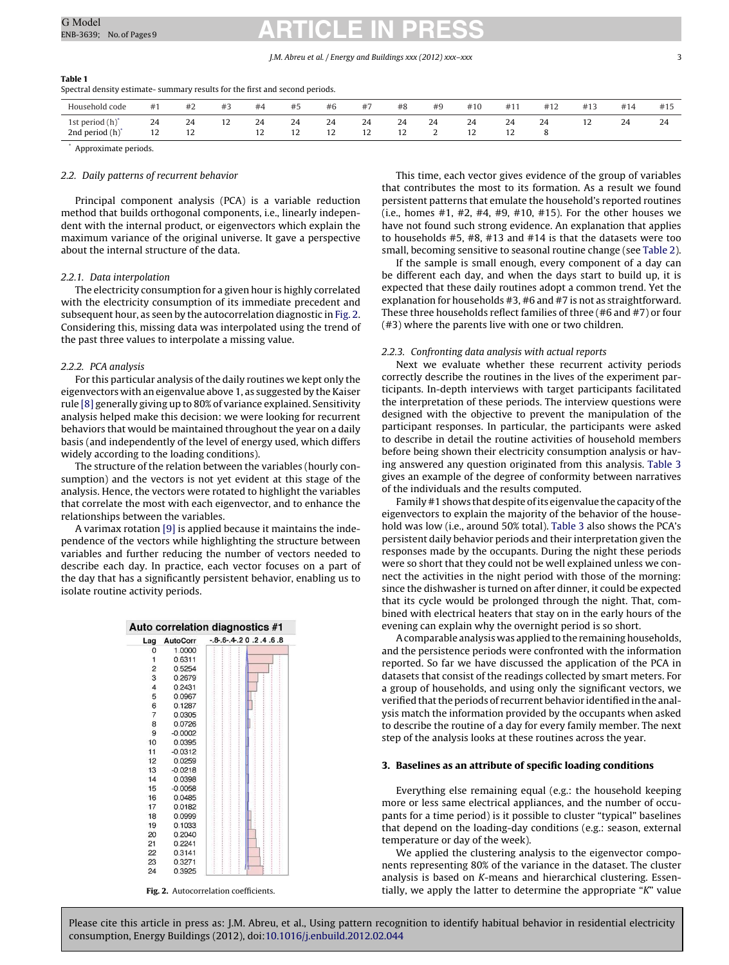#### J.M. Abreu et al. / Energy and Buildings xxx (2012) xxx–xxx 3

<span id="page-3-0"></span>Table 1

Spectral density estimate- summary results for the first and second periods.

| Household code                                      | #1                          | #2               | #3       | #4                      | #5       | #6                      | #7                 | #8                 | #9                       | #10 | #1                                  | #12     | #13                      | #14 | #1F<br>π.     |
|-----------------------------------------------------|-----------------------------|------------------|----------|-------------------------|----------|-------------------------|--------------------|--------------------|--------------------------|-----|-------------------------------------|---------|--------------------------|-----|---------------|
| 1st period $(h)^*$<br>$1/1$ $1^*$<br>2nd period (h) | 24<br>- -<br>$\overline{1}$ | 24<br>$L_{\sim}$ | 12<br>14 | 24<br>$1^{\circ}$<br>12 | 24<br>12 | 24<br>. .<br>$\sqrt{2}$ | 24<br>$\sim$<br>12 | 24<br>$\sim$<br>12 | $\sim$ $\sim$<br>24<br>∽ | 24  | $\sim$<br>24<br>$\sim$ $\sim$<br>14 | 24<br>o | $\overline{\phantom{0}}$ | 24  | $\sim$<br>-24 |

Approximate periods.

#### 2.2. Daily patterns of recurrent behavior

Principal component analysis (PCA) is a variable reduction method that builds orthogonal components, i.e., linearly independent with the internal product, or eigenvectors which explain the maximum variance of the original universe. It gave a perspective about the internal structure of the data.

#### 2.2.1. Data interpolation

The electricity consumption for a given hour is highly correlated with the electricity consumption of its immediate precedent and subsequent hour, as seen by the autocorrelation diagnostic in Fig. 2. Considering this, missing data was interpolated using the trend of the past three values to interpolate a missing value.

#### 2.2.2. PCA analysis

For this particular analysis of the daily routines we kept only the eigenvectors with an eigenvalue above 1, as suggested by the Kaiser rule [\[8\]](#page-9-0) generally giving up to 80% of variance explained. Sensitivity analysis helped make this decision: we were looking for recurrent behaviors that would be maintained throughout the year on a daily basis (and independently of the level of energy used, which differs widely according to the loading conditions).

The structure of the relation between the variables (hourly consumption) and the vectors is not yet evident at this stage of the analysis. Hence, the vectors were rotated to highlight the variables that correlate the most with each eigenvector, and to enhance the relationships between the variables.

A varimax rotation [\[9\]](#page-9-0) is applied because it maintains the independence of the vectors while highlighting the structure between variables and further reducing the number of vectors needed to describe each day. In practice, each vector focuses on a part of the day that has a significantly persistent behavior, enabling us to isolate routine activity periods.

| Lag            | AutoCorr  | $-0.8 - 0.4 - 0.2 - 0.4 - 0.8$ |
|----------------|-----------|--------------------------------|
| 0              | 1.0000    |                                |
| 1              | 0.6311    |                                |
| $\overline{c}$ | 0.5254    |                                |
| 3              | 0.2679    |                                |
| 4              | 0.2431    |                                |
| 5              | 0.0967    |                                |
| 6              | 0.1287    |                                |
| 7              | 0.0305    |                                |
| 8              | 0.0726    |                                |
| 9              | $-0.0002$ |                                |
| 10             | 0.0395    |                                |
| 11             | $-0.0312$ |                                |
| 12             | 0.0259    |                                |
| 13             | $-0.0218$ |                                |
| 14             | 0.0398    |                                |
| 15             | $-0.0058$ |                                |
| 16             | 0.0485    |                                |
| 17             | 0.0182    |                                |
| 18             | 0.0999    |                                |
| 19             | 0.1033    |                                |
| 20             | 0.2040    |                                |
| 21             | 0.2241    |                                |
| 22             | 0.3141    |                                |
| 23             | 0.3271    |                                |
| 24             | 0.3925    |                                |

Fig. 2. Autocorrelation coefficients.

This time, each vector gives evidence of the group of variables that contributes the most to its formation. As a result we found persistent patterns that emulate the household's reported routines (i.e., homes #1, #2, #4, #9, #10, #15). For the other houses we have not found such strong evidence. An explanation that applies to households #5, #8, #13 and #14 is that the datasets were too small, becoming sensitive to seasonal routine change (see [Table](#page-4-0) 2).

If the sample is small enough, every component of a day can be different each day, and when the days start to build up, it is expected that these daily routines adopt a common trend. Yet the explanation for households #3, #6 and #7 is not as straightforward. These three households reflect families of three (#6 and #7) or four (#3) where the parents live with one or two children.

#### 2.2.3. Confronting data analysis with actual reports

Next we evaluate whether these recurrent activity periods correctly describe the routines in the lives of the experiment participants. In-depth interviews with target participants facilitated the interpretation of these periods. The interview questions were designed with the objective to prevent the manipulation of the participant responses. In particular, the participants were asked to describe in detail the routine activities of household members before being shown their electricity consumption analysis or having answered any question originated from this analysis. [Table](#page-4-0) 3 gives an example of the degree of conformity between narratives of the individuals and the results computed.

Family #1 shows that despite of its eigenvalue the capacity of the eigenvectors to explain the majority of the behavior of the household was low (i.e., around 50% total). [Table](#page-4-0) 3 also shows the PCA's persistent daily behavior periods and their interpretation given the responses made by the occupants. During the night these periods were so short that they could not be well explained unless we connect the activities in the night period with those of the morning: since the dishwasher is turned on after dinner, it could be expected that its cycle would be prolonged through the night. That, combined with electrical heaters that stay on in the early hours of the evening can explain why the overnight period is so short.

A comparable analysis was applied to the remaining households, and the persistence periods were confronted with the information reported. So far we have discussed the application of the PCA in datasets that consist of the readings collected by smart meters. For a group of households, and using only the significant vectors, we verified that the periods of recurrent behavior identified in the analysis match the information provided by the occupants when asked to describe the routine of a day for every family member. The next step of the analysis looks at these routines across the year.

#### 3. Baselines as an attribute of specific loading conditions

Everything else remaining equal (e.g.: the household keeping more or less same electrical appliances, and the number of occupants for a time period) is it possible to cluster "typical" baselines that depend on the loading-day conditions (e.g.: season, external temperature or day of the week).

We applied the clustering analysis to the eigenvector components representing 80% of the variance in the dataset. The cluster analysis is based on K-means and hierarchical clustering. Essentially, we apply the latter to determine the appropriate "K" value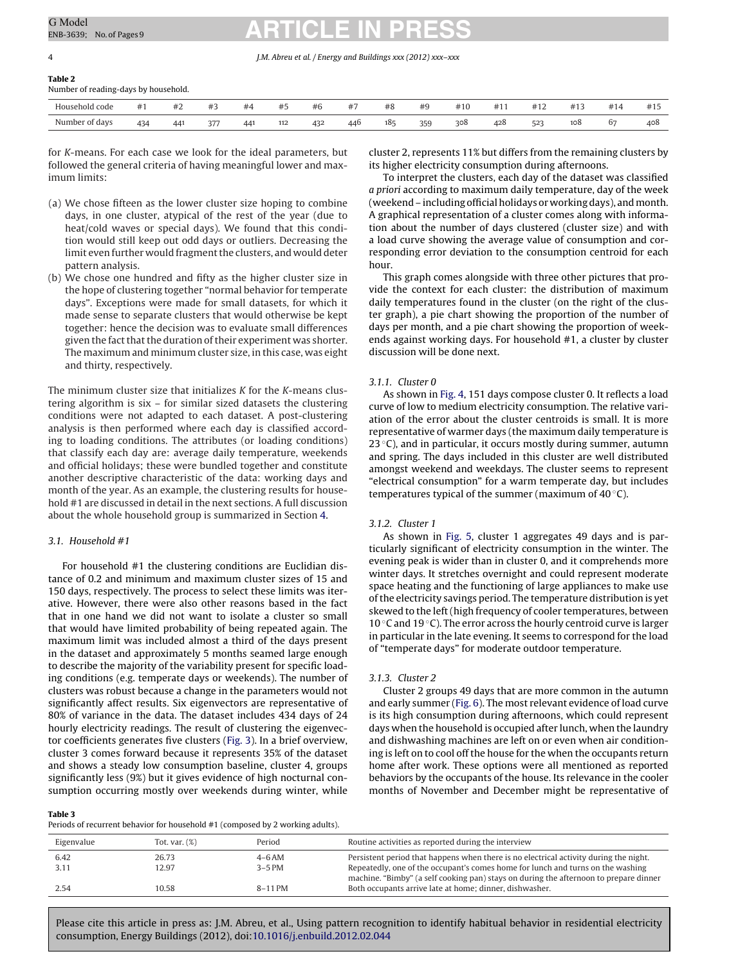#### 4 J.M. Abreu et al. / Energy and Buildings xxx (2012) xxx–xxx

<span id="page-4-0"></span>

Table 2 Number of reading-days by household.

| Household code | 丑   | #7                | $\cdots$<br>ᅭ | #4              | #5<br>. . | #6      | ±.  | #8  | #9              | #10 | ±1  | ے ہ                 | $#1$ : | #1           | - #15 |
|----------------|-----|-------------------|---------------|-----------------|-----------|---------|-----|-----|-----------------|-----|-----|---------------------|--------|--------------|-------|
| Number of days | 434 | $\Delta \Delta^*$ | $\sim$<br>37  | 44 <sup>7</sup> | 112       | 432<br> | 44b | 185 | 35 <sup>S</sup> | 305 | 428 | 52 <sup>2</sup><br> | 108    | $\sim$<br>., | 408   |

for K-means. For each case we look for the ideal parameters, but followed the general criteria of having meaningful lower and maximum limits:

- (a) We chose fifteen as the lower cluster size hoping to combine days, in one cluster, atypical of the rest of the year (due to heat/cold waves or special days). We found that this condition would still keep out odd days or outliers. Decreasing the limit even further would fragment the clusters, and would deter pattern analysis.
- (b) We chose one hundred and fifty as the higher cluster size in the hope of clustering together "normal behavior for temperate days". Exceptions were made for small datasets, for which it made sense to separate clusters that would otherwise be kept together: hence the decision was to evaluate small differences given the fact that the duration of their experiment was shorter. The maximum and minimum cluster size, in this case, was eight and thirty, respectively.

The minimum cluster size that initializes K for the K-means clustering algorithm is six – for similar sized datasets the clustering conditions were not adapted to each dataset. A post-clustering analysis is then performed where each day is classified according to loading conditions. The attributes (or loading conditions) that classify each day are: average daily temperature, weekends and official holidays; these were bundled together and constitute another descriptive characteristic of the data: working days and month of the year. As an example, the clustering results for household #1 are discussed in detail in the next sections. A full discussion about the whole household group is summarized in Section [4.](#page-6-0)

#### 3.1. Household #1

For household #1 the clustering conditions are Euclidian distance of 0.2 and minimum and maximum cluster sizes of 15 and 150 days, respectively. The process to select these limits was iterative. However, there were also other reasons based in the fact that in one hand we did not want to isolate a cluster so small that would have limited probability of being repeated again. The maximum limit was included almost a third of the days present in the dataset and approximately 5 months seamed large enough to describe the majority of the variability present for specific loading conditions (e.g. temperate days or weekends). The number of clusters was robust because a change in the parameters would not significantly affect results. Six eigenvectors are representative of 80% of variance in the data. The dataset includes 434 days of 24 hourly electricity readings. The result of clustering the eigenvector coefficients generates five clusters [\(Fig.](#page-5-0) 3). In a brief overview, cluster 3 comes forward because it represents 35% of the dataset and shows a steady low consumption baseline, cluster 4, groups significantly less (9%) but it gives evidence of high nocturnal consumption occurring mostly over weekends during winter, while

#### Table 3

Periods of recurrent behavior for household #1 (composed by 2 working adults).

cluster 2, represents 11% but differs from the remaining clusters by its higher electricity consumption during afternoons.

To interpret the clusters, each day of the dataset was classified a priori according to maximum daily temperature, day of the week (weekend - including official holidays or working days), and month. A graphical representation of a cluster comes along with information about the number of days clustered (cluster size) and with a load curve showing the average value of consumption and corresponding error deviation to the consumption centroid for each hour.

This graph comes alongside with three other pictures that provide the context for each cluster: the distribution of maximum daily temperatures found in the cluster (on the right of the cluster graph), a pie chart showing the proportion of the number of days per month, and a pie chart showing the proportion of weekends against working days. For household #1, a cluster by cluster discussion will be done next.

#### 3.1.1. Cluster 0

As shown in [Fig.](#page-5-0) 4, 151 days compose cluster 0. It reflects a load curve of low to medium electricity consumption. The relative variation of the error about the cluster centroids is small. It is more representative of warmer days (the maximum daily temperature is  $23 °C$ ), and in particular, it occurs mostly during summer, autumn and spring. The days included in this cluster are well distributed amongst weekend and weekdays. The cluster seems to represent "electrical consumption" for a warm temperate day, but includes temperatures typical of the summer (maximum of  $40^{\circ}$ C).

#### 3.1.2. Cluster 1

As shown in [Fig.](#page-6-0) 5, cluster 1 aggregates 49 days and is particularly significant of electricity consumption in the winter. The evening peak is wider than in cluster 0, and it comprehends more winter days. It stretches overnight and could represent moderate space heating and the functioning of large appliances to make use ofthe electricity savings period. The temperature distribution is yet skewed to the left (high frequency of cooler temperatures, between 10 ◦C and 19 ◦C). The error across the hourly centroid curve is larger in particular in the late evening. It seems to correspond for the load of "temperate days" for moderate outdoor temperature.

#### 3.1.3. Cluster 2

Cluster 2 groups 49 days that are more common in the autumn and early summer [\(Fig.](#page-6-0) 6). The most relevant evidence of load curve is its high consumption during afternoons, which could represent days when the household is occupied after lunch, when the laundry and dishwashing machines are left on or even when air conditioning is left on to cool off the house for the when the occupants return home after work. These options were all mentioned as reported behaviors by the occupants of the house. Its relevance in the cooler months of November and December might be representative of

| Eigenvalue   | Tot. var. $(\%)$ | Period                 | Routine activities as reported during the interview                                                                                                                                                                                                               |
|--------------|------------------|------------------------|-------------------------------------------------------------------------------------------------------------------------------------------------------------------------------------------------------------------------------------------------------------------|
| 6.42<br>3.11 | 26.73<br>12.97   | $4 - 6$ AM<br>$3-5$ PM | Persistent period that happens when there is no electrical activity during the night.<br>Repeatedly, one of the occupant's comes home for lunch and turns on the washing<br>machine. "Bimby" (a self cooking pan) stays on during the afternoon to prepare dinner |
| 2.54         | 10.58            | 8-11 PM                | Both occupants arrive late at home; dinner, dishwasher.                                                                                                                                                                                                           |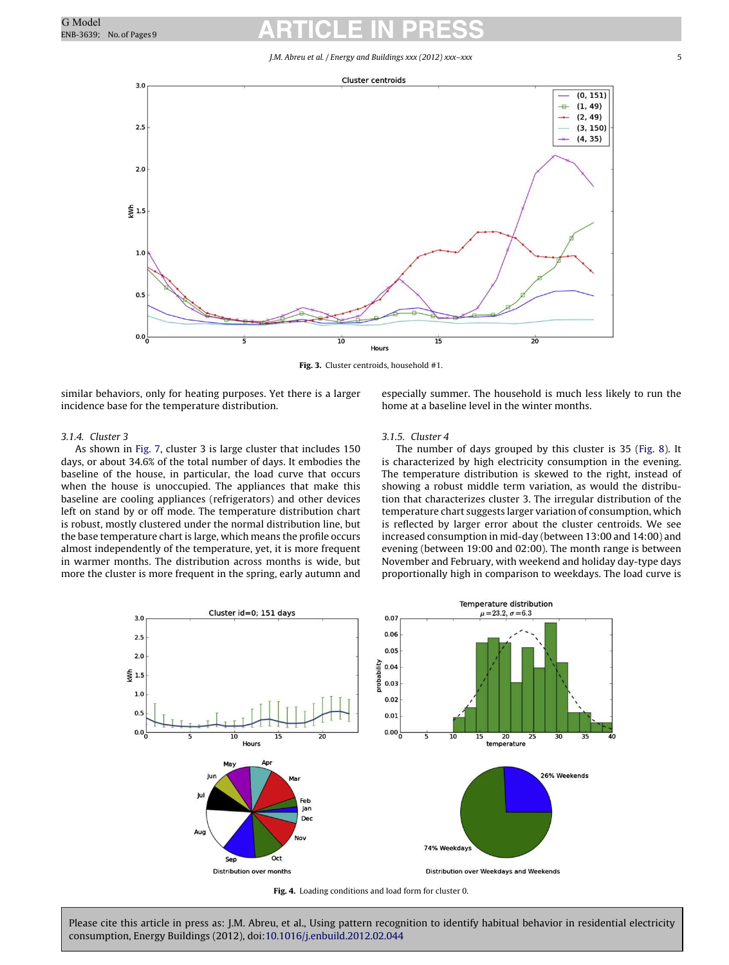#### J.M. Abreu et al. / Energy and Buildings xxx (2012) xxx–xxx 5

<span id="page-5-0"></span>

Fig. 3. Cluster centroids, household #1.

similar behaviors, only for heating purposes. Yet there is a larger incidence base for the temperature distribution.

#### especially summer. The household is much less likely to run the home at a baseline level in the winter months.

#### 3.1.4. Cluster 3

As shown in [Fig.](#page-7-0) 7, cluster 3 is large cluster that includes 150 days, or about 34.6% of the total number of days. It embodies the baseline of the house, in particular, the load curve that occurs when the house is unoccupied. The appliances that make this baseline are cooling appliances (refrigerators) and other devices left on stand by or off mode. The temperature distribution chart is robust, mostly clustered under the normal distribution line, but the base temperature chart is large, which means the profile occurs almost independently of the temperature, yet, it is more frequent in warmer months. The distribution across months is wide, but more the cluster is more frequent in the spring, early autumn and

#### 3.1.5. Cluster 4

The number of days grouped by this cluster is 35 [\(Fig.](#page-7-0) 8). It is characterized by high electricity consumption in the evening. The temperature distribution is skewed to the right, instead of showing a robust middle term variation, as would the distribution that characterizes cluster 3. The irregular distribution of the temperature chart suggests larger variation of consumption, which is reflected by larger error about the cluster centroids. We see increased consumption in mid-day (between 13:00 and 14:00) and evening (between 19:00 and 02:00). The month range is between November and February, with weekend and holiday day-type days proportionally high in comparison to weekdays. The load curve is



Fig. 4. Loading conditions and load form for cluster 0.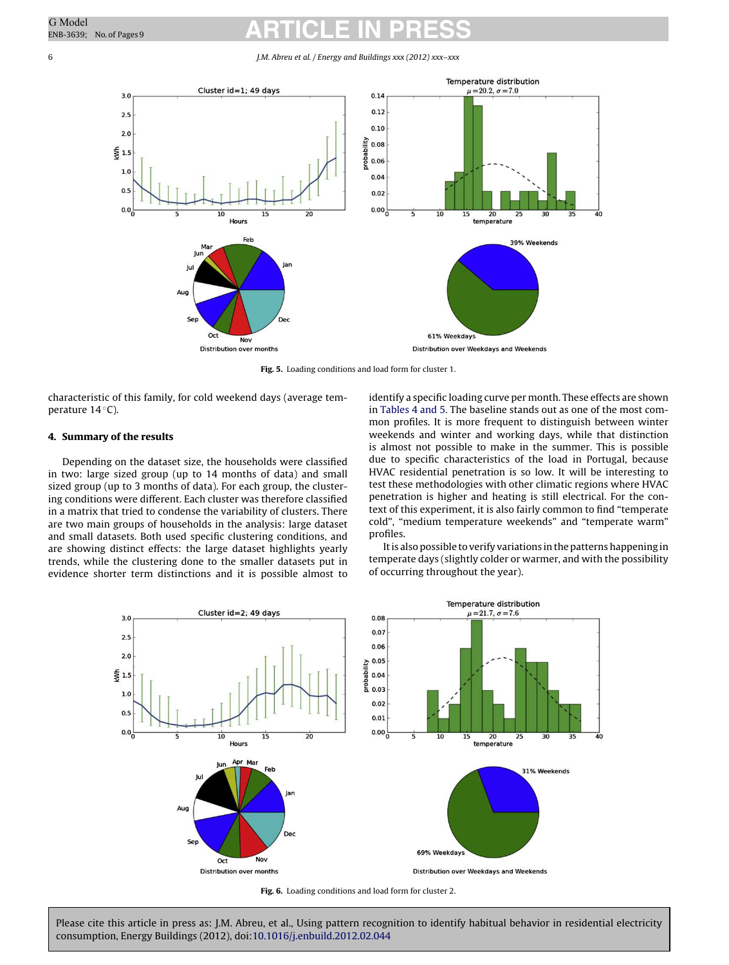#### <span id="page-6-0"></span>6 J.M. Abreu et al. / Energy and Buildings xxx (2012) xxx–xxx



Fig. 5. Loading conditions and load form for cluster 1.

characteristic of this family, for cold weekend days (average temperature 14 °C).

#### 4. Summary of the results

Depending on the dataset size, the households were classified in two: large sized group (up to 14 months of data) and small sized group (up to 3 months of data). For each group, the clustering conditions were different. Each cluster was therefore classified in a matrix that tried to condense the variability of clusters. There are two main groups of households in the analysis: large dataset and small datasets. Both used specific clustering conditions, and are showing distinct effects: the large dataset highlights yearly trends, while the clustering done to the smaller datasets put in evidence shorter term distinctions and it is possible almost to

identify a specific loading curve per month. These effects are shown in [Tables](#page-8-0) 4 and 5. The baseline stands out as one of the most common profiles. It is more frequent to distinguish between winter weekends and winter and working days, while that distinction is almost not possible to make in the summer. This is possible due to specific characteristics of the load in Portugal, because HVAC residential penetration is so low. It will be interesting to test these methodologies with other climatic regions where HVAC penetration is higher and heating is still electrical. For the context of this experiment, it is also fairly common to find "temperate cold", "medium temperature weekends" and "temperate warm" profiles.

It is also possible to verify variations in the patterns happening in temperate days (slightly colder or warmer, and with the possibility of occurring throughout the year).



Fig. 6. Loading conditions and load form for cluster 2.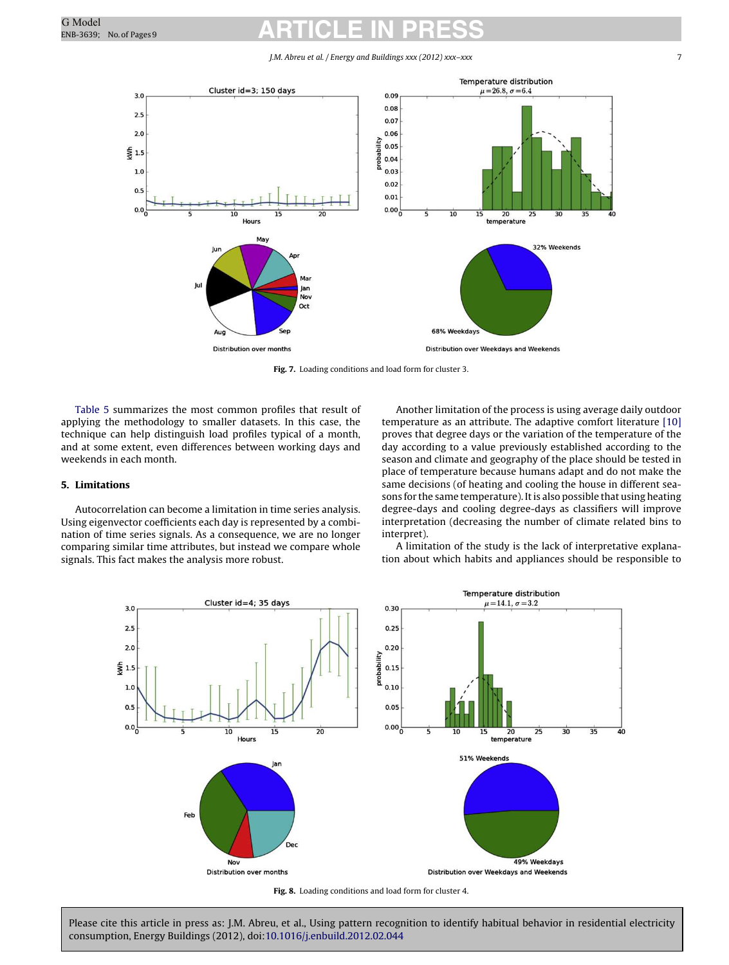#### J.M. Abreu et al. / Energy and Buildings xxx (2012) xxx–xxx 7

<span id="page-7-0"></span>

Fig. 7. Loading conditions and load form for cluster 3.

[Table](#page-8-0) 5 summarizes the most common profiles that result of applying the methodology to smaller datasets. In this case, the technique can help distinguish load profiles typical of a month, and at some extent, even differences between working days and weekends in each month.

#### 5. Limitations

Autocorrelation can become a limitation in time series analysis. Using eigenvector coefficients each day is represented by a combination of time series signals. As a consequence, we are no longer comparing similar time attributes, but instead we compare whole signals. This fact makes the analysis more robust.

Another limitation of the process is using average daily outdoor temperature as an attribute. The adaptive comfort literature [\[10\]](#page-9-0) proves that degree days or the variation of the temperature of the day according to a value previously established according to the season and climate and geography of the place should be tested in place of temperature because humans adapt and do not make the same decisions (of heating and cooling the house in different seasons for the same temperature). It is also possible that using heating degree-days and cooling degree-days as classifiers will improve interpretation (decreasing the number of climate related bins to interpret).



A limitation of the study is the lack of interpretative explanation about which habits and appliances should be responsible to

Fig. 8. Loading conditions and load form for cluster 4.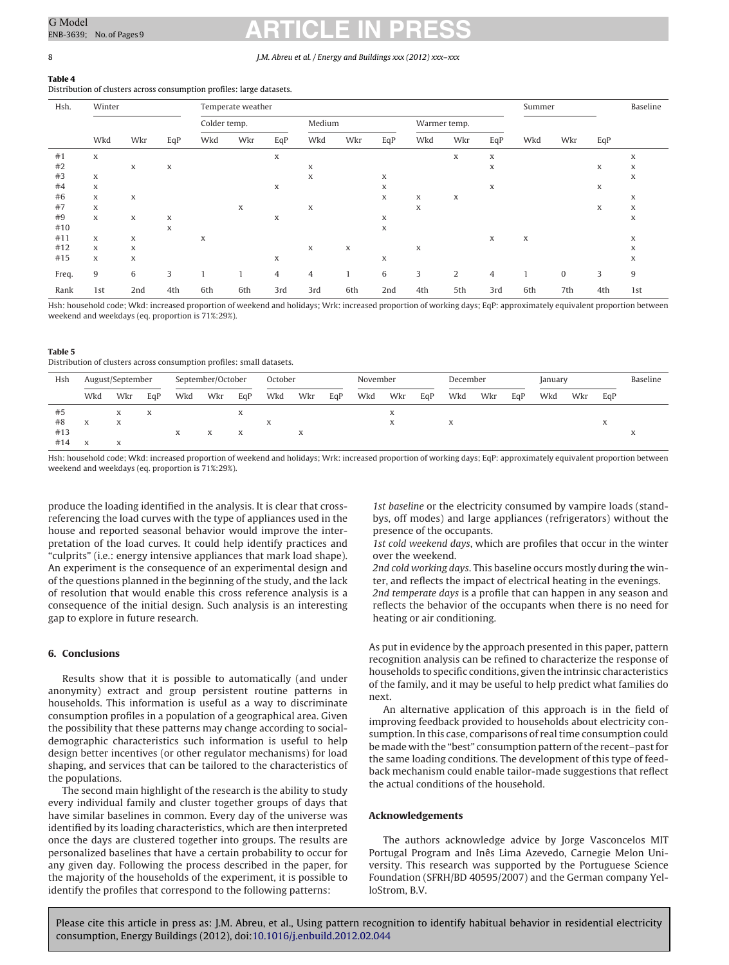#### <span id="page-8-0"></span>8 J.M. Abreu et al. / Energy and Buildings xxx (2012) xxx–xxx

### Table 4

Distribution of clusters across consumption profiles: large datasets.

| Hsh.  | Winter |     |     |              | Temperate weather |                | Summer         |     |             | Baseline |              |                |     |     |     |     |
|-------|--------|-----|-----|--------------|-------------------|----------------|----------------|-----|-------------|----------|--------------|----------------|-----|-----|-----|-----|
|       |        |     |     | Colder temp. |                   |                | Medium         |     |             |          | Warmer temp. |                |     |     |     |     |
|       | Wkd    | Wkr | EqP | Wkd          | Wkr               | EqP            | Wkd            | Wkr | EqP         | Wkd      | Wkr          | EqP            | Wkd | Wkr | EqP |     |
| #1    | X      |     |     |              |                   | X              |                |     |             |          | X            | X              |     |     |     | X   |
| #2    |        | X   | X   |              |                   |                | X              |     |             |          |              | X              |     |     | X   | X   |
| #3    | X      |     |     |              |                   |                | X              |     | X           |          |              |                |     |     |     | X   |
| #4    | X      |     |     |              |                   | X              |                |     | X           |          |              | X              |     |     | X   |     |
| #6    | X      | X   |     |              |                   |                |                |     | X           | X        | X            |                |     |     |     | X   |
| #7    | X      |     |     |              | X                 |                | X              |     |             | X        |              |                |     |     | X   | X   |
| #9    | X      | X   | X   |              |                   | X              |                |     | $\mathbf x$ |          |              |                |     |     |     | X   |
| #10   |        |     | X   |              |                   |                |                |     | $\mathbf x$ |          |              |                |     |     |     |     |
| #11   | X      | X   |     | X            |                   |                |                |     |             |          |              | X              | X   |     |     | X   |
| #12   | X      | X   |     |              |                   |                | X              | X   |             | X        |              |                |     |     |     | X   |
| #15   | X      | X   |     |              |                   | X              |                |     | $\mathbf x$ |          |              |                |     |     |     | X   |
| Freq. | 9      | 6   | 3   | м            | и                 | $\overline{4}$ | $\overline{4}$ | 1   | 6           | 3        | 2            | $\overline{4}$ | 1   | 0   | 3   | 9   |
| Rank  | 1st    | 2nd | 4th | 6th          | 6th               | 3rd            | 3rd            | 6th | 2nd         | 4th      | 5th          | 3rd            | 6th | 7th | 4th | 1st |

Hsh: household code; Wkd: increased proportion of weekend and holidays; Wrk: increased proportion of working days; EqP: approximately equivalent proportion between weekend and weekdays (eq. proportion is 71%:29%).

#### Table 5

Distribution of clusters across consumption profiles: small datasets.

| Hsh | September/October<br>August/September |     |     |     | October |     |           | November |     |     | December |     |     | January |     |     |     |     |  |
|-----|---------------------------------------|-----|-----|-----|---------|-----|-----------|----------|-----|-----|----------|-----|-----|---------|-----|-----|-----|-----|--|
|     | Wkd                                   | Wkr | EqP | Wkd | Wkr     | EqP | Wkd       | Wkr      | EqP | Wkd | Wkr      | EqP | Wkd | Wkr     | EqP | Wkd | Wkr | EaP |  |
| #5  |                                       | A   | X   |     |         | A   |           |          |     |     | A        |     |     |         |     |     |     |     |  |
| #8  | X                                     | X   |     |     |         |     | $\Lambda$ |          |     |     | A        |     | A   |         |     |     |     |     |  |
| #13 |                                       |     |     |     |         | X   |           | X        |     |     |          |     |     |         |     |     |     |     |  |
| #14 |                                       | X   |     |     |         |     |           |          |     |     |          |     |     |         |     |     |     |     |  |

Hsh: household code; Wkd: increased proportion of weekend and holidays; Wrk: increased proportion of working days; EqP: approximately equivalent proportion between weekend and weekdays (eq. proportion is 71%:29%).

produce the loading identified in the analysis. It is clear that crossreferencing the load curves with the type of appliances used in the house and reported seasonal behavior would improve the interpretation of the load curves. It could help identify practices and "culprits" (i.e.: energy intensive appliances that mark load shape). An experiment is the consequence of an experimental design and of the questions planned in the beginning of the study, and the lack of resolution that would enable this cross reference analysis is a consequence of the initial design. Such analysis is an interesting gap to explore in future research.

#### 6. Conclusions

Results show that it is possible to automatically (and under anonymity) extract and group persistent routine patterns in households. This information is useful as a way to discriminate consumption profiles in a population of a geographical area. Given the possibility that these patterns may change according to socialdemographic characteristics such information is useful to help design better incentives (or other regulator mechanisms) for load shaping, and services that can be tailored to the characteristics of the populations.

The second main highlight of the research is the ability to study every individual family and cluster together groups of days that have similar baselines in common. Every day of the universe was identified by its loading characteristics, which are then interpreted once the days are clustered together into groups. The results are personalized baselines that have a certain probability to occur for any given day. Following the process described in the paper, for the majority of the households of the experiment, it is possible to identify the profiles that correspond to the following patterns:

1st baseline or the electricity consumed by vampire loads (standbys, off modes) and large appliances (refrigerators) without the presence of the occupants.

1st cold weekend days, which are profiles that occur in the winter over the weekend.

2nd cold working days. This baseline occurs mostly during the winter, and reflects the impact of electrical heating in the evenings. 2nd temperate days is a profile that can happen in any season and reflects the behavior of the occupants when there is no need for heating or air conditioning.

As put in evidence by the approach presented in this paper, pattern recognition analysis can be refined to characterize the response of households to specific conditions, given the intrinsic characteristics of the family, and it may be useful to help predict what families do next.

An alternative application of this approach is in the field of improving feedback provided to households about electricity consumption. In this case, comparisons of real time consumption could be made with the "best" consumption pattern of the recent-past for the same loading conditions. The development of this type of feedback mechanism could enable tailor-made suggestions that reflect the actual conditions of the household.

#### Acknowledgements

The authors acknowledge advice by Jorge Vasconcelos MIT Portugal Program and Inês Lima Azevedo, Carnegie Melon University. This research was supported by the Portuguese Science Foundation (SFRH/BD 40595/2007) and the German company YelloStrom, B.V.